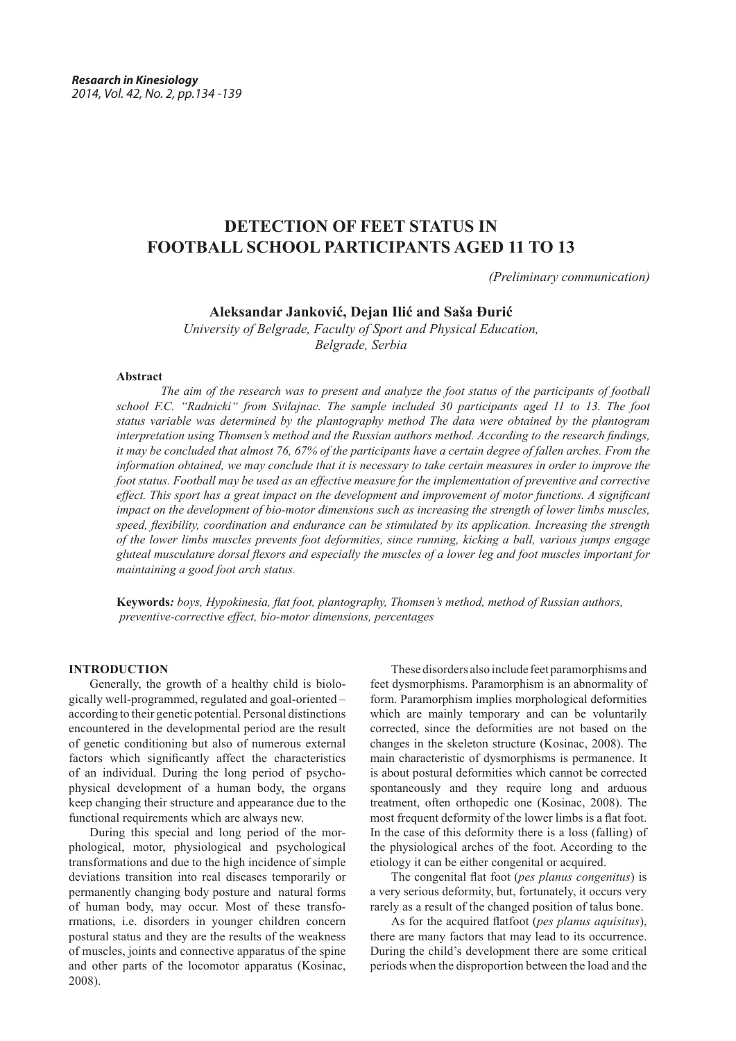# **DETECTION OF FEET STATUS IN FOOTBALL SCHOOL PARTICIPANTS AGED 11 TO 13**

*(Preliminary communication)*

### **Aleksandar Janković, Dejan Ilić and Saša Đurić**

*University of Belgrade, Faculty of Sport and Physical Education, Belgrade, Serbia*

### **Abstract**

*The aim of the research was to present and analyze the foot status of the participants of football school F.C. "Radnicki" from Svilajnac. The sample included 30 participants aged 11 to 13. The foot status variable was determined by the plantography method The data were obtained by the plantogram interpretation using Thomsen's method and the Russian authors method. According to the research findings, it may be concluded that almost 76, 67% of the participants have a certain degree of fallen arches. From the information obtained, we may conclude that it is necessary to take certain measures in order to improve the foot status. Football may be used as an effective measure for the implementation of preventive and corrective effect. This sport has a great impact on the development and improvement of motor functions. A significant impact on the development of bio-motor dimensions such as increasing the strength of lower limbs muscles, speed, flexibility, coordination and endurance can be stimulated by its application. Increasing the strength of the lower limbs muscles prevents foot deformities, since running, kicking a ball, various jumps engage gluteal musculature dorsal flexors and especially the muscles of a lower leg and foot muscles important for maintaining a good foot arch status.* 

**Keywords***: boys, Hypokinesia, flat foot, plantography, Thomsen's method, method of Russian authors, preventive-corrective effect, bio-motor dimensions, percentages*

### **INTRODUCTION**

Generally, the growth of a healthy child is biologically well-programmed, regulated and goal-oriented – according to their genetic potential. Personal distinctions encountered in the developmental period are the result of genetic conditioning but also of numerous external factors which significantly affect the characteristics of an individual. During the long period of psychophysical development of a human body, the organs keep changing their structure and appearance due to the functional requirements which are always new.

During this special and long period of the morphological, motor, physiological and psychological transformations and due to the high incidence of simple deviations transition into real diseases temporarily or permanently changing body posture and natural forms of human body, may occur. Most of these transformations, i.e. disorders in younger children concern postural status and they are the results of the weakness of muscles, joints and connective apparatus of the spine and other parts of the locomotor apparatus (Kosinac, 2008).

These disorders also include feet paramorphisms and feet dysmorphisms. Paramorphism is an abnormality of form. Paramorphism implies morphological deformities which are mainly temporary and can be voluntarily corrected, since the deformities are not based on the changes in the skeleton structure (Kosinac, 2008). The main characteristic of dysmorphisms is permanence. It is about postural deformities which cannot be corrected spontaneously and they require long and arduous treatment, often orthopedic one (Kosinac, 2008). The most frequent deformity of the lower limbs is a flat foot. In the case of this deformity there is a loss (falling) of the physiological arches of the foot. According to the etiology it can be either congenital or acquired.

The congenital flat foot (*pes planus congenitus*) is a very serious deformity, but, fortunately, it occurs very rarely as a result of the changed position of talus bone.

As for the acquired flatfoot (*pes planus aquisitus*), there are many factors that may lead to its occurrence. During the child's development there are some critical periods when the disproportion between the load and the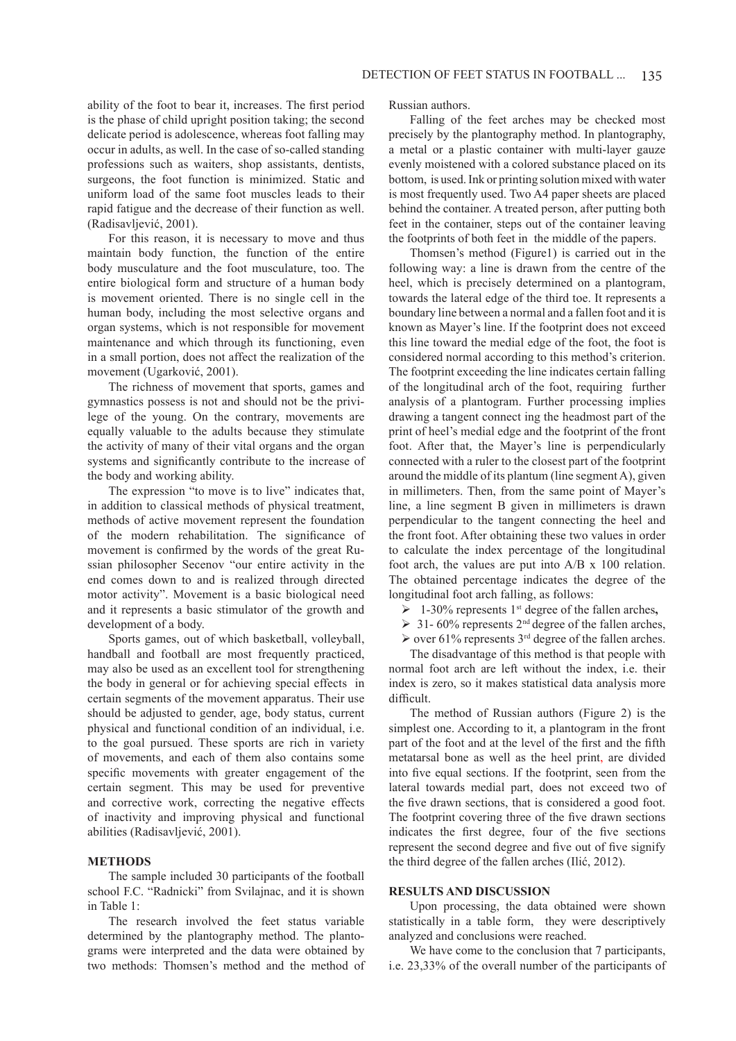ability of the foot to bear it, increases. The first period is the phase of child upright position taking; the second delicate period is adolescence, whereas foot falling may occur in adults, as well. In the case of so-called standing professions such as waiters, shop assistants, dentists, surgeons, the foot function is minimized. Static and uniform load of the same foot muscles leads to their rapid fatigue and the decrease of their function as well. (Radisavljević, 2001).

For this reason, it is necessary to move and thus maintain body function, the function of the entire body musculature and the foot musculature, too. The entire biological form and structure of a human body is movement oriented. There is no single cell in the human body, including the most selective organs and organ systems, which is not responsible for movement maintenance and which through its functioning, even in a small portion, does not affect the realization of the movement (Ugarković, 2001).

The richness of movement that sports, games and gymnastics possess is not and should not be the privilege of the young. On the contrary, movements are equally valuable to the adults because they stimulate the activity of many of their vital organs and the organ systems and significantly contribute to the increase of the body and working ability.

The expression "to move is to live" indicates that, in addition to classical methods of physical treatment, methods of active movement represent the foundation of the modern rehabilitation. The significance of movement is confirmed by the words of the great Russian philosopher Secenov "our entire activity in the end comes down to and is realized through directed motor activity". Movement is a basic biological need and it represents a basic stimulator of the growth and development of a body.

Sports games, out of which basketball, volleyball, handball and football are most frequently practiced, may also be used as an excellent tool for strengthening the body in general or for achieving special effects in certain segments of the movement apparatus. Their use should be adjusted to gender, age, body status, current physical and functional condition of an individual, i.e. to the goal pursued. These sports are rich in variety of movements, and each of them also contains some specific movements with greater engagement of the certain segment. This may be used for preventive and corrective work, correcting the negative effects of inactivity and improving physical and functional abilities (Radisavljević, 2001).

#### **METHODS**

The sample included 30 participants of the football school F.C. "Radnicki" from Svilajnac, and it is shown in Table 1:

The research involved the feet status variable determined by the plantography method. The plantograms were interpreted and the data were obtained by two methods: Thomsen's method and the method of Russian authors.

Falling of the feet arches may be checked most precisely by the plantography method. In plantography, a metal or a plastic container with multi-layer gauze evenly moistened with a colored substance placed on its bottom, is used. Ink or printing solution mixed with water is most frequently used. Two A4 paper sheets are placed behind the container. A treated person, after putting both feet in the container, steps out of the container leaving the footprints of both feet in the middle of the papers.

Thomsen's method (Figure1) is carried out in the following way: a line is drawn from the centre of the heel, which is precisely determined on a plantogram, towards the lateral edge of the third toe. It represents a boundary line between a normal and a fallen foot and it is known as Mayer's line. If the footprint does not exceed this line toward the medial edge of the foot, the foot is considered normal according to this method's criterion. The footprint exceeding the line indicates certain falling of the longitudinal arch of the foot, requiring further analysis of a plantogram. Further processing implies drawing a tangent connect ing the headmost part of the print of heel's medial edge and the footprint of the front foot. After that, the Mayer's line is perpendicularly connected with a ruler to the closest part of the footprint around the middle of its plantum (line segment A), given in millimeters. Then, from the same point of Mayer's line, a line segment B given in millimeters is drawn perpendicular to the tangent connecting the heel and the front foot. After obtaining these two values in order to calculate the index percentage of the longitudinal foot arch, the values are put into A/B x 100 relation. The obtained percentage indicates the degree of the longitudinal foot arch falling, as follows:

- $\geq 1$ -30% represents 1<sup>st</sup> degree of the fallen arches,
- $\geq 31 60\%$  represents 2<sup>nd</sup> degree of the fallen arches,
- $\triangleright$  over 61% represents 3<sup>rd</sup> degree of the fallen arches.

The disadvantage of this method is that people with normal foot arch are left without the index, i.e. their index is zero, so it makes statistical data analysis more difficult.

The method of Russian authors (Figure 2) is the simplest one. According to it, a plantogram in the front part of the foot and at the level of the first and the fifth metatarsal bone as well as the heel print, are divided into five equal sections. If the footprint, seen from the lateral towards medial part, does not exceed two of the five drawn sections, that is considered a good foot. The footprint covering three of the five drawn sections indicates the first degree, four of the five sections represent the second degree and five out of five signify the third degree of the fallen arches (Ilić, 2012).

#### **RESULTS AND DISCUSSION**

Upon processing, the data obtained were shown statistically in a table form, they were descriptively analyzed and conclusions were reached.

We have come to the conclusion that 7 participants, i.e. 23,33% of the overall number of the participants of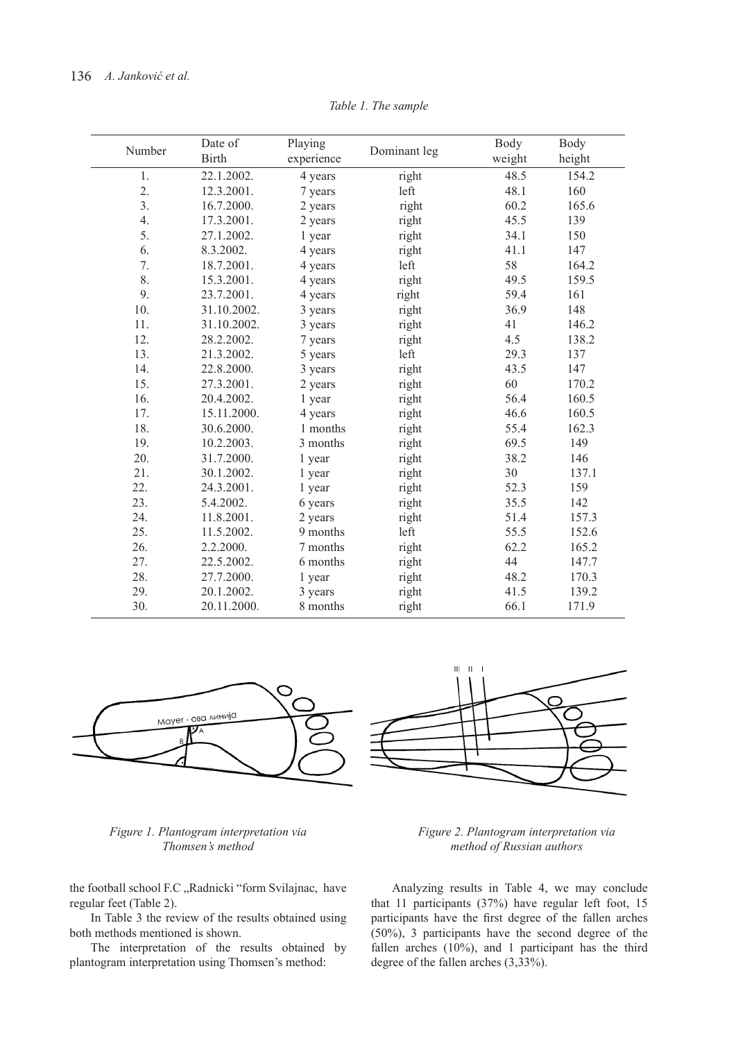| Number | Date of<br><b>Birth</b> | Playing<br>experience | Dominant leg | Body<br>weight | Body<br>height |
|--------|-------------------------|-----------------------|--------------|----------------|----------------|
| 1.     | 22.1.2002.              | 4 years               | right        | 48.5           | 154.2          |
| 2.     | 12.3.2001.              | 7 years               | left         | 48.1           | 160            |
| 3.     | 16.7.2000.              | 2 years               | right        | 60.2           | 165.6          |
| 4.     | 17.3.2001.              | 2 years               | right        | 45.5           | 139            |
| 5.     | 27.1.2002.              | 1 year                | right        | 34.1           | 150            |
| 6.     | 8.3.2002.               | 4 years               | right        | 41.1           | 147            |
| 7.     | 18.7.2001.              | 4 years               | left         | 58             | 164.2          |
| 8.     | 15.3.2001.              | 4 years               | right        | 49.5           | 159.5          |
| 9.     | 23.7.2001.              | 4 years               | right        | 59.4           | 161            |
| 10.    | 31.10.2002.             | 3 years               | right        | 36.9           | 148            |
| 11.    | 31.10.2002.             | 3 years               | right        | 41             | 146.2          |
| 12.    | 28.2.2002.              | 7 years               | right        | 4.5            | 138.2          |
| 13.    | 21.3.2002.              | 5 years               | left         | 29.3           | 137            |
| 14.    | 22.8.2000.              | 3 years               | right        | 43.5           | 147            |
| 15.    | 27.3.2001.              | 2 years               | right        | 60             | 170.2          |
| 16.    | 20.4.2002.              | 1 year                | right        | 56.4           | 160.5          |
| 17.    | 15.11.2000.             | 4 years               | right        | 46.6           | 160.5          |
| 18.    | 30.6.2000.              | 1 months              | right        | 55.4           | 162.3          |
| 19.    | 10.2.2003.              | 3 months              | right        | 69.5           | 149            |
| 20.    | 31.7.2000.              | 1 year                | right        | 38.2           | 146            |
| 21.    | 30.1.2002.              | 1 year                | right        | 30             | 137.1          |
| 22.    | 24.3.2001.              | 1 year                | right        | 52.3           | 159            |
| 23.    | 5.4.2002.               | 6 years               | right        | 35.5           | 142            |
| 24.    | 11.8.2001.              | 2 years               | right        | 51.4           | 157.3          |
| 25.    | 11.5.2002.              | 9 months              | left         | 55.5           | 152.6          |
| 26.    | 2.2.2000.               | 7 months              | right        | 62.2           | 165.2          |
| 27.    | 22.5.2002.              | 6 months              | right        | 44             | 147.7          |
| 28.    | 27.7.2000.              | 1 year                | right        | 48.2           | 170.3          |
| 29.    | 20.1.2002.              | 3 years               | right        | 41.5           | 139.2          |
| 30.    | 20.11.2000.             | 8 months              | right        | 66.1           | 171.9          |

*Table 1. The sample*



### *Figure 1. Plantogram interpretation via Thomsen's method*

the football school F.C "Radnicki "form Svilajnac, have regular feet (Table 2).

In Table 3 the review of the results obtained using both methods mentioned is shown.

The interpretation of the results obtained by plantogram interpretation using Thomsen's method:



Analyzing results in Table 4, we may conclude that 11 participants (37%) have regular left foot, 15 participants have the first degree of the fallen arches (50%), 3 participants have the second degree of the fallen arches (10%), and 1 participant has the third degree of the fallen arches (3,33%).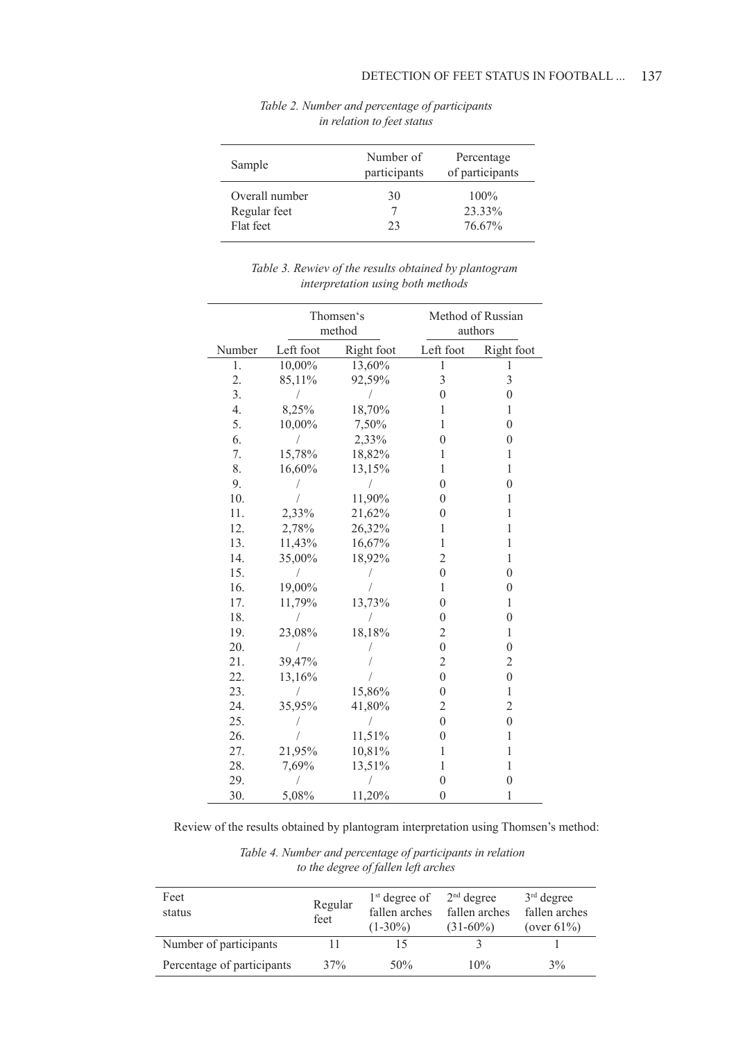| Sample         | Number of<br>participants | Percentage<br>of participants |  |
|----------------|---------------------------|-------------------------------|--|
| Overall number | 30                        | $100\%$                       |  |
| Regular feet   |                           | 23.33%                        |  |
| Flat feet      | 23                        | 76.67%                        |  |

# *Table 2. Number and percentage of participants in relation to feet status*

# *Table 3. Rewiev of the results obtained by plantogram interpretation using both methods*

|        | Thomsen's<br>method |            | Method of Russian<br>authors |                  |
|--------|---------------------|------------|------------------------------|------------------|
| Number | Left foot           | Right foot | Left foot                    | Right foot       |
| 1.     | 10,00%              | 13,60%     | 1                            | ı                |
| 2.     | 85,11%              | 92,59%     | 3                            | $\overline{3}$   |
| 3.     | /                   | 7          | $\overline{0}$               | $\boldsymbol{0}$ |
| 4.     | 8,25%               | 18,70%     | 1                            | 1                |
| 5.     | 10,00%              | 7,50%      | 1                            | $\boldsymbol{0}$ |
| 6.     |                     | 2,33%      | $\overline{0}$               | $\mathbf{0}$     |
| 7.     | 15,78%              | 18,82%     | 1                            | $\mathbf{1}$     |
| 8.     | 16,60%              | 13,15%     | 1                            | $\mathbf{1}$     |
| 9.     |                     | 1          | $\mathbf{0}$                 | $\mathbf{0}$     |
| 10.    |                     | 11,90%     | $\mathbf{0}$                 | 1                |
| 11.    | 2,33%               | 21,62%     | $\overline{0}$               | $\mathbf{1}$     |
| 12.    | 2,78%               | 26,32%     | 1                            | 1                |
| 13.    | 11,43%              | 16,67%     | 1                            | $\mathbf{1}$     |
| 14.    | 35,00%              | 18,92%     | $\overline{c}$               | 1                |
| 15.    |                     |            | $\boldsymbol{0}$             | $\boldsymbol{0}$ |
| 16.    | 19,00%              |            | 1                            | $\overline{0}$   |
| 17.    | 11,79%              | 13,73%     | $\overline{0}$               | 1                |
| 18.    |                     |            | $\boldsymbol{0}$             | $\boldsymbol{0}$ |
| 19.    | 23,08%              | 18,18%     | $\overline{2}$               | $\mathbf{1}$     |
| 20.    |                     |            | $\boldsymbol{0}$             | $\mathbf{0}$     |
| 21.    | 39,47%              |            | $\overline{c}$               | $\overline{c}$   |
| 22.    | 13,16%              |            | $\boldsymbol{0}$             | $\boldsymbol{0}$ |
| 23.    | $\sqrt{2}$          | 15,86%     | $\mathbf{0}$                 | $\mathbf{1}$     |
| 24.    | 35,95%              | 41,80%     | 2                            | $\overline{2}$   |
| 25.    |                     |            | $\boldsymbol{0}$             | $\boldsymbol{0}$ |
| 26.    |                     | 11,51%     | $\mathbf{0}$                 | 1                |
| 27.    | 21,95%              | 10,81%     | 1                            | $\mathbf{1}$     |
| 28.    | 7,69%               | 13,51%     | 1                            | $\mathbf{1}$     |
| 29.    |                     |            | $\boldsymbol{0}$             | $\overline{0}$   |
| 30.    | 5,08%               | 11,20%     | $\boldsymbol{0}$             | 1                |

Review of the results obtained by plantogram interpretation using Thomsen's method:

 *Table 4. Number and percentage of participants in relation to the degree of fallen left arches* 

| Feet<br>status             | Regular<br>feet | $1st$ degree of<br>fallen arches<br>$(1-30\%)$ | $2nd$ degree<br>fallen arches<br>$(31-60\%)$ | $3rd$ degree<br>fallen arches<br>(over $61\%$ ) |
|----------------------------|-----------------|------------------------------------------------|----------------------------------------------|-------------------------------------------------|
| Number of participants     | Н               |                                                |                                              |                                                 |
| Percentage of participants | 37%             | 50%                                            | 10%                                          | 3%                                              |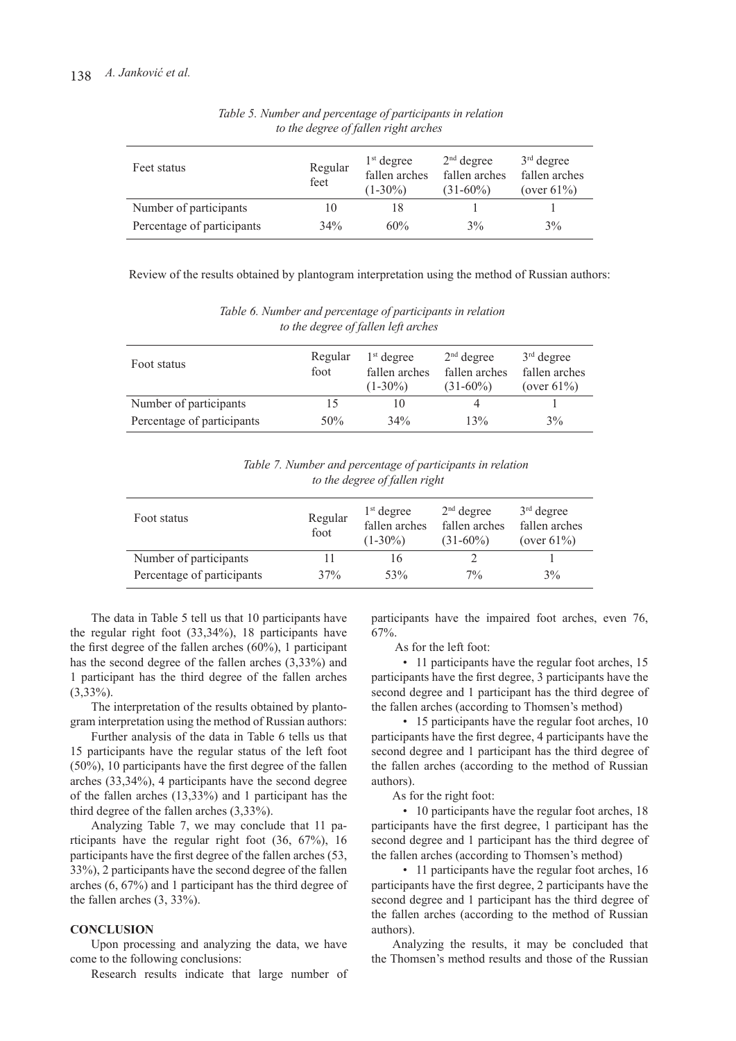| Feet status                | Regular<br>feet | $1st$ degree<br>fallen arches<br>$(1-30\%)$ | $2nd$ degree<br>fallen arches<br>$(31-60\%)$ | $3rd$ degree<br>fallen arches<br>(over $61\%$ ) |
|----------------------------|-----------------|---------------------------------------------|----------------------------------------------|-------------------------------------------------|
| Number of participants     | 10              |                                             |                                              |                                                 |
| Percentage of participants | 34%             | 60%                                         | 3%                                           | 3%                                              |

 *Table 5. Number and percentage of participants in relation to the degree of fallen right arches*

Review of the results obtained by plantogram interpretation using the method of Russian authors:

 *Table 6. Number and percentage of participants in relation to the degree of fallen left arches*

| Foot status                | Regular<br>foot | $1st$ degree<br>fallen arches<br>$(1-30\%)$ | $2nd$ degree<br>fallen arches<br>$(31-60\%)$ | $3rd$ degree<br>fallen arches<br>(over $61\%$ ) |
|----------------------------|-----------------|---------------------------------------------|----------------------------------------------|-------------------------------------------------|
| Number of participants     | 15              |                                             |                                              |                                                 |
| Percentage of participants | 50%             | 34%                                         | 13%                                          | 3%                                              |

 *Table 7. Number and percentage of participants in relation to the degree of fallen right*

| Foot status                | Regular<br>foot | $1st$ degree<br>fallen arches<br>$(1-30\%)$ | $2nd$ degree<br>fallen arches<br>$(31-60\%)$ | $3rd$ degree<br>fallen arches<br>(over $61\%$ ) |
|----------------------------|-----------------|---------------------------------------------|----------------------------------------------|-------------------------------------------------|
| Number of participants     | 11              | ١h                                          |                                              |                                                 |
| Percentage of participants | 37%             | 53%                                         | $7\%$                                        | 3%                                              |

The data in Table 5 tell us that 10 participants have the regular right foot (33,34%), 18 participants have the first degree of the fallen arches (60%), 1 participant has the second degree of the fallen arches (3,33%) and 1 participant has the third degree of the fallen arches (3,33%).

The interpretation of the results obtained by plantogram interpretation using the method of Russian authors:

Further analysis of the data in Table 6 tells us that 15 participants have the regular status of the left foot (50%), 10 participants have the first degree of the fallen arches (33,34%), 4 participants have the second degree of the fallen arches (13,33%) and 1 participant has the third degree of the fallen arches (3,33%).

Analyzing Table 7, we may conclude that 11 participants have the regular right foot (36, 67%), 16 participants have the first degree of the fallen arches (53, 33%), 2 participants have the second degree of the fallen arches (6, 67%) and 1 participant has the third degree of the fallen arches (3, 33%).

#### **CONCLUSION**

Upon processing and analyzing the data, we have come to the following conclusions:

Research results indicate that large number of

participants have the impaired foot arches, even 76, 67%.

As for the left foot:

• 11 participants have the regular foot arches, 15 participants have the first degree, 3 participants have the second degree and 1 participant has the third degree of the fallen arches (according to Thomsen's method)

• 15 participants have the regular foot arches, 10 participants have the first degree, 4 participants have the second degree and 1 participant has the third degree of the fallen arches (according to the method of Russian authors).

As for the right foot:

• 10 participants have the regular foot arches, 18 participants have the first degree, 1 participant has the second degree and 1 participant has the third degree of the fallen arches (according to Thomsen's method)

• 11 participants have the regular foot arches, 16 participants have the first degree, 2 participants have the second degree and 1 participant has the third degree of the fallen arches (according to the method of Russian authors).

Analyzing the results, it may be concluded that the Thomsen's method results and those of the Russian